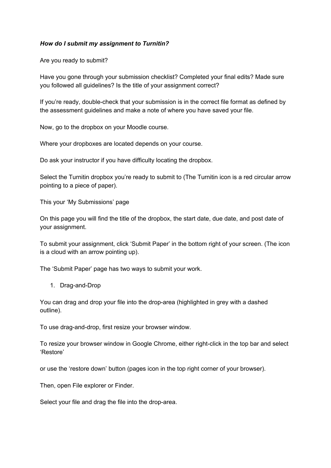## *How do I submit my assignment to Turnitin?*

Are you ready to submit?

Have you gone through your submission checklist? Completed your final edits? Made sure you followed all guidelines? Is the title of your assignment correct?

If you're ready, double-check that your submission is in the correct file format as defined by the assessment guidelines and make a note of where you have saved your file.

Now, go to the dropbox on your Moodle course.

Where your dropboxes are located depends on your course.

Do ask your instructor if you have difficulty locating the dropbox.

Select the Turnitin dropbox you're ready to submit to (The Turnitin icon is a red circular arrow pointing to a piece of paper).

This your 'My Submissions' page

On this page you will find the title of the dropbox, the start date, due date, and post date of your assignment.

To submit your assignment, click 'Submit Paper' in the bottom right of your screen. (The icon is a cloud with an arrow pointing up).

The 'Submit Paper' page has two ways to submit your work.

1. Drag-and-Drop

You can drag and drop your file into the drop-area (highlighted in grey with a dashed outline).

To use drag-and-drop, first resize your browser window.

To resize your browser window in Google Chrome, either right-click in the top bar and select 'Restore'

or use the 'restore down' button (pages icon in the top right corner of your browser).

Then, open File explorer or Finder.

Select your file and drag the file into the drop-area.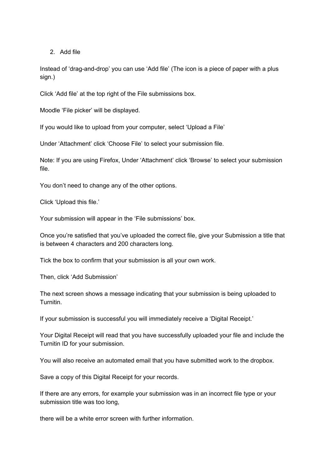2. Add file

Instead of 'drag-and-drop' you can use 'Add file' (The icon is a piece of paper with a plus sign.)

Click 'Add file' at the top right of the File submissions box.

Moodle 'File picker' will be displayed.

If you would like to upload from your computer, select 'Upload a File'

Under 'Attachment' click 'Choose File' to select your submission file.

Note: If you are using Firefox, Under 'Attachment' click 'Browse' to select your submission file.

You don't need to change any of the other options.

Click 'Upload this file.'

Your submission will appear in the 'File submissions' box.

Once you're satisfied that you've uploaded the correct file, give your Submission a title that is between 4 characters and 200 characters long.

Tick the box to confirm that your submission is all your own work.

Then, click 'Add Submission'

The next screen shows a message indicating that your submission is being uploaded to Turnitin.

If your submission is successful you will immediately receive a 'Digital Receipt.'

Your Digital Receipt will read that you have successfully uploaded your file and include the Turnitin ID for your submission.

You will also receive an automated email that you have submitted work to the dropbox.

Save a copy of this Digital Receipt for your records.

If there are any errors, for example your submission was in an incorrect file type or your submission title was too long,

there will be a white error screen with further information.